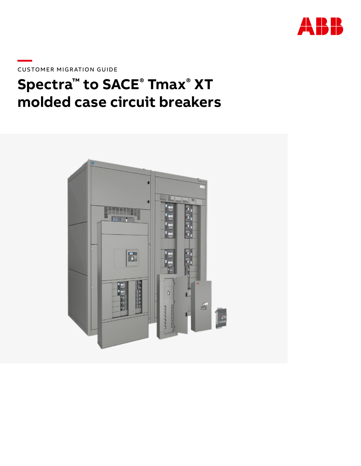

**—**CUSTOMER MIGRATION GUIDE

# **Spectra™ to SACE® Tmax® XT molded case circuit breakers**

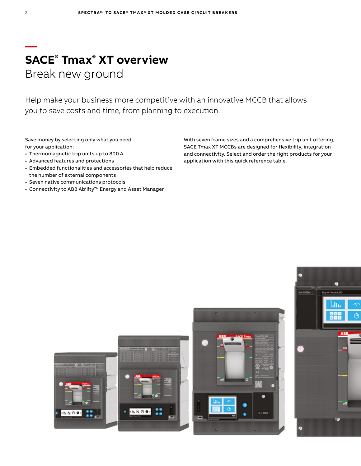### **— SACE® Tmax® XT overview** Break new ground

Help make your business more competitive with an innovative MCCB that allows you to save costs and time, from planning to execution.

Save money by selecting only what you need for your application:

- Thermomagnetic trip units up to 800 A
- Advanced features and protections
- Embedded functionalities and accessories that help reduce the number of external components
- Seven native communications protocols
- Connectivity to ABB Ability™ Energy and Asset Manager

With seven frame sizes and a comprehensive trip unit offering, SACE Tmax XT MCCBs are designed for flexibility, integration and connectivity. Select and order the right products for your application with this quick reference table.





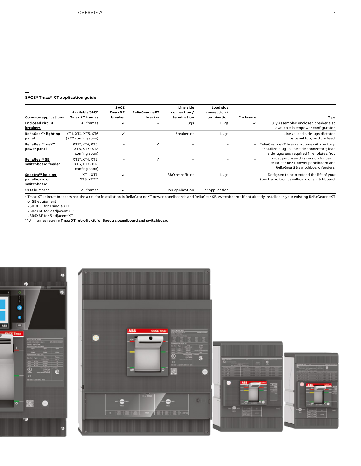#### **SACE® Tmax® XT application guide**

**—**

| Common applications                              | <b>Available SACE</b><br><b>Tmax XT frames</b>   | <b>SACE</b><br><b>Tmax XT</b><br>breaker | <b>ReliaGear neXT</b><br>breaker | Line side<br>connection /<br>termination | Load side<br>connection /<br>termination | <b>Enclosure</b>         | <b>Tips</b>                                                                                                                              |
|--------------------------------------------------|--------------------------------------------------|------------------------------------------|----------------------------------|------------------------------------------|------------------------------------------|--------------------------|------------------------------------------------------------------------------------------------------------------------------------------|
| <b>Enclosed circuit</b><br>breakers              | All frames                                       |                                          |                                  | Lugs                                     | Lugs                                     |                          | Fully assembled enclosed breaker also<br>available in empower configurator.                                                              |
| ReliaGear™ lighting<br>panel                     | XT1, XT4, XT5, XT6<br>(XT2 coming soon)          |                                          | -                                | Breaker kit                              | Lugs                                     |                          | Line vs load side lugs dictated<br>by panel top/bottom feed.                                                                             |
| ReliaGear™ neXT<br>power panel                   | XT1*, XT4, XT5,<br>XT6, XT7 (XT2<br>coming soon) |                                          |                                  |                                          |                                          | $\overline{\phantom{0}}$ | ReliaGear neXT breakers come with factory-<br>installed plug-in line side connectors; load<br>side lugs; and required filler plates. You |
| ReliaGear® SB<br>switchboard feeder              | XT1*, XT4, XT5,<br>XT6, XT7 (XT2<br>coming soon) |                                          |                                  |                                          |                                          |                          | must purchase this version for use in<br>ReliaGear neXT power panelboard and<br>ReliaGear SB switchboard feeders.                        |
| Spectra™ bolt-on<br>panelboard or<br>switchboard | XT1, XT4,<br>XT5, XT7**                          |                                          |                                  | SBO retrofit kit                         | Lugs                                     |                          | Designed to help extend the life of your<br>Spectra bolt-on panelboard or switchboard.                                                   |
| <b>OEM</b> business                              | All frames                                       |                                          |                                  | Per application                          | Per application                          |                          |                                                                                                                                          |

\* Tmax XT1 circuit breakers require a rail for installation in ReliaGear neXT power panelboards and ReliaGear SB switchboards if not already installed in your existing ReliaGear neXT

or SB equipment: • SR1XBF for 1 single XT1

• SR2XBF for 2 adjacent XT1

• SR5XBF for 5 adjacent XT1 \*\* All frames require **[Tmax XT retrofit kit for Spectra panelboard and switchboard](https://electrification.us.abb.com/products/circuit-breakers/tmax-xt-retrofit-kit-spectra-panelboards)**







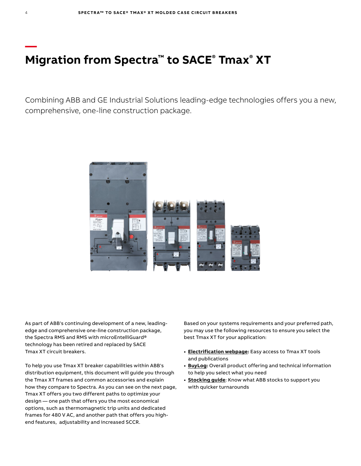## **Migration from Spectra™ to SACE® Tmax® XT**

Combining ABB and GE Industrial Solutions leading-edge technologies offers you a new, comprehensive, one-line construction package.



As part of ABB's continuing development of a new, leadingedge and comprehensive one-line construction package, the Spectra RMS and RMS with microEntelliGuard® technology has been retired and replaced by SACE Tmax XT circuit breakers.

To help you use Tmax XT breaker capabilities within ABB's distribution equipment, this document will guide you through the Tmax XT frames and common accessories and explain how they compare to Spectra. As you can see on the next page, Tmax XT offers you two different paths to optimize your design — one path that offers you the most economical options, such as thermomagnetic trip units and dedicated frames for 480 V AC, and another path that offers you highend features, adjustability and increased SCCR.

Based on your systems requirements and your preferred path, you may use the following resources to ensure you select the best Tmax XT for your application:

- **• Electrification webpage:** [Easy access to Tmax XT tools](https://electrification.us.abb.com/products/circuit-breakers/tmax-xt)  [and publications](https://electrification.us.abb.com/products/circuit-breakers/tmax-xt)
- **• BuyLog:** [Overall product offering and technical information](https://electrification.us.abb.com/buylog_pdf)  [to help you select what you need](https://electrification.us.abb.com/buylog_pdf)
- **• Stocking guide**[: Know what ABB stocks to support you](https://electrification.us.abb.com/your-business/oem)  [with quicker turnarounds](https://electrification.us.abb.com/your-business/oem)

**—**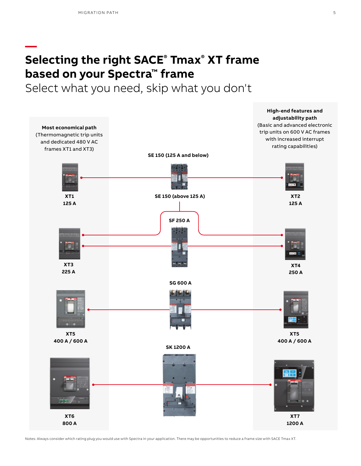**—**

# **Selecting the right SACE® Tmax® XT frame based on your Spectra™ frame**

Select what you need, skip what you don't



Notes: Always consider which rating plug you would use with Spectra in your application. There may be opportunities to reduce a frame size with SACE Tmax XT.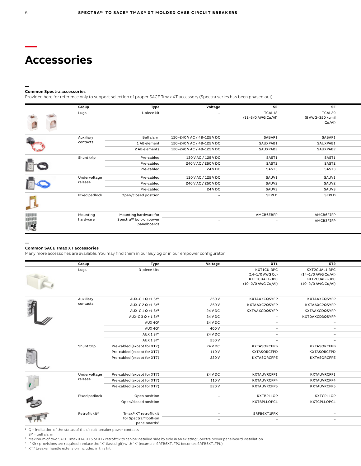### **Accessories**

#### **— Common Spectra accessories**

Provided here for reference only to support selection of proper SACE Tmax XT accessory (Spectra series has been phased out).

|           | Group         | Type                                  | Voltage                    | <b>SE</b>                    | <b>SF</b>                            |  |
|-----------|---------------|---------------------------------------|----------------------------|------------------------------|--------------------------------------|--|
|           | Lugs          | 1-piece kit                           | $\overline{\phantom{a}}$   | TCAL18<br>(12-3/0 AWG Cu/Al) | TCAL29<br>(8 AWG-350 kcmil<br>Cu/Al) |  |
|           | Auxiliary     | Bell alarm                            | 120-240 V AC / 48-125 V DC | SABAP1                       | SABAP1                               |  |
|           | contacts      | 1 AB element                          | 120-240 V AC / 48-125 V DC | SAUXPAB1                     | SAUXPAB1                             |  |
|           |               | 2 AB elements                         | 120-240 V AC / 48-125 V DC | SAUXPAB2                     | SAUXPAB2                             |  |
|           | Shunt trip    | Pre-cabled                            | 120 V AC / 125 V DC        | SAST1                        | SAST1                                |  |
| <b>DE</b> |               | Pre-cabled                            | 240 V AC / 250 V DC        | SAST2                        | SAST2                                |  |
|           |               | Pre-cabled                            | 24 V DC                    | SAST3                        | SAST3                                |  |
|           | Undervoltage  | Pre-cabled                            | 120 V AC / 125 V DC        | SAUV1                        | SAUV1                                |  |
|           | release       | Pre-cabled                            | 240 V AC / 250 V DC        | SAUV2                        | SAUV2                                |  |
|           |               | Pre-cabled                            | 24 V DC                    | SAUV3                        | SAUV3                                |  |
|           | Fixed padlock | Open/closed position                  | $\overline{\phantom{a}}$   | SEPLD                        | <b>SEPLD</b>                         |  |
|           | Mounting      | Mounting hardware for                 |                            | AMCB6EBFP                    | AMCB6FJFP                            |  |
| <br> -3   | hardware      | Spectra™ bolt-on power<br>panelboards | $\overline{\phantom{a}}$   | $\overline{\phantom{a}}$     | AMCB3FJFP                            |  |
|           |               |                                       |                            |                              |                                      |  |

#### **Common SACE Tmax XT accessories**

**—**

Many more accessories are available. You may find them in our Buylog or in our empower configurator.

|              | Group                     | Type                          | Voltage                  | XT1                                                                  | XT2                                                                        |
|--------------|---------------------------|-------------------------------|--------------------------|----------------------------------------------------------------------|----------------------------------------------------------------------------|
|              | Lugs                      | 3-piece kits                  | $\sim$                   | KXT1CU-3PC<br>(14-1/0 AWG Cu)<br>KXT1CUAL1-3PC<br>(10-2/0 AWG Cu/Al) | KXT2CUAL1-3PC<br>(14-1/0 AWG Cu/Al)<br>KXT2CUAL2-3PC<br>(10-2/0 AWG Cu/Al) |
|              | Auxiliary                 | AUX-C 1 Q +1 SY <sup>1</sup>  | 250 V                    | KXTAAXCQSYFP                                                         | KXTAAXCQSYFP                                                               |
|              | contacts                  | AUX-C 2 Q +1 SY <sup>1</sup>  | 250 V                    | KXTAAXC2QSYFP                                                        | KXTAAXC2QSYFP                                                              |
| 有            |                           | AUX-C 1 Q +1 SY <sup>1</sup>  | 24 V DC                  | KXTAAXCDQSYFP                                                        | KXTAAXCDQSYFP                                                              |
|              |                           | AUX-C 3 Q + 1 SY <sup>1</sup> | 24 V DC                  | $\sim$                                                               | KXTDAXCD3QSYFP                                                             |
|              |                           | AUX 4Q <sup>1</sup>           | 24 V DC                  | $\sim$                                                               | $\sim$                                                                     |
|              |                           | AUX 4Q <sup>1</sup>           | 400 V                    | $\sim$                                                               | $\overline{\phantom{0}}$                                                   |
|              |                           | AUX 1 SY <sup>1</sup>         | 24 V DC                  | $\overline{\phantom{0}}$                                             | $\sim$                                                                     |
|              |                           | AUX 1 SY <sup>1</sup>         | 250 V                    | $\overline{\phantom{0}}$                                             | $\overline{\phantom{a}}$                                                   |
|              | Shunt trip                | Pre-cabled (except for XT7)   | 24 V DC                  | <b>KXTASORCFPB</b>                                                   | <b>KXTASORCFPB</b>                                                         |
|              |                           | Pre-cabled (except for XT7)   | 110 V                    | KXTASORCFPD                                                          | KXTASORCFPD                                                                |
| 相互           |                           | Pre-cabled (except for XT7)   | 220 V                    | <b>KXTASORCFPE</b>                                                   | KXTASORCFPE                                                                |
|              | Undervoltage              | Pre-cabled (except for XT7)   | 24 V DC                  | KXTAUVRCFP1                                                          | KXTAUVRCFP1                                                                |
|              | release                   | Pre-cabled (except for XT7)   | 110 V                    | KXTAUVRCFP4                                                          | KXTAUVRCFP4                                                                |
| $\mathbf{L}$ |                           | Pre-cabled (except for XT7)   | 220 V                    | <b>KXTAUVRCFP5</b>                                                   | KXTAUVRCFP5                                                                |
|              | Fixed padlock             | Open position                 | $\sim$                   | <b>KXTBPLLOP</b>                                                     | <b>KXTCPLLOP</b>                                                           |
| <b>ROD</b>   |                           | Open/closed position          | $\sim$                   | KXTBPLLOPCL                                                          | KXTCPLLOPCL                                                                |
|              | Retrofit kit <sup>2</sup> | Tmax® XT retrofit kit         | $\sim$                   | SRFB6XT1FPX                                                          | $\overline{\phantom{0}}$                                                   |
| 市            |                           | for Spectra™ bolt-on          | $\overline{\phantom{0}}$ | $\overline{\phantom{a}}$                                             | $\overline{\phantom{0}}$                                                   |
|              |                           | panelboards <sup>3</sup>      |                          |                                                                      |                                                                            |

 $1$  Q = indication of the status of the circuit-breaker power contacts SY = bell alarm

<sup>2</sup> Maximum of two SACE Tmax XT4, XT5 or XT7 retrofit kits can be installed side by side in an existing Spectra power panelboard installation

<sup>3</sup> If Kirk provisions are required, replace the "X" (last digit) with "K" (example: SRFB6XT1FPX becomes SRFB6XT1FPK)

<sup>4</sup> XT7 breaker handle extension included in this kit

**—**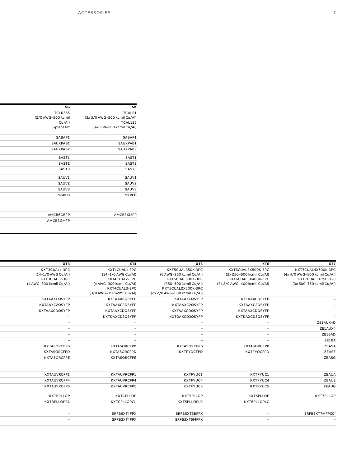| SK                           | SG                 |
|------------------------------|--------------------|
| TCAL81                       | TCLK365            |
| (3x 3/0 AWG-500 kcmil Cu/Al) | (2/0 AWG-500 kcmil |
| TCAL125                      | Cu/Al)             |
| (4x 250-500 kcmil Cu/Al)     | 3-piece kit        |
| SABAP1                       | SABAP1             |
| SAUXPAB1                     | SAUXPAB1           |
| SAUXPAB2                     | SAUXPAB2           |
| SAST1                        | SAST1              |
| SAST2                        | SAST2              |
| SAST3                        | SAST3              |
| SAUV1                        | SAUV1              |
| SAUV2                        | SAUV2              |
| SAUV3                        | SAUV3              |
| <b>SKPLD</b>                 | SGPLD              |
|                              |                    |
| <b>АМСВЗКМFР</b>             | AMCB6GBFP          |
| $\equiv$                     | AMCB3GMFP          |

| XT7                          | XT6                          | XT5                          | XT4                       | XT3                      |
|------------------------------|------------------------------|------------------------------|---------------------------|--------------------------|
| KXT7CUAL4X500K-3PC           | KXT6CUAL2X500K-3PC           | KXT5CUAL350K-3PC             | KXT4CUAL1-3PC             | KXT3CUAL1-3PC            |
| (4x 4/0 AWG-500 kcmil Cu/Al) | (2x 250-500 kcmil Cu/Al)     | (6 AWG-350 kcmil Cu/Al)      | (14-1/0 AWG Cu/Al)        | (14-1/0 AWG Cu/Al)       |
| KXT7CUAL3X750KC-3            | KXT6CUAL3X400K-3PC           | KXT5CUAL500K-3PC             | KXT4CUAL2-3PC             | KXT3CUAL2-3PC            |
| (3x 500-750 kcmil Cu/Al)     | (3x 2/0 AWG-400 kcmil Cu/Al) | (250-500 kcmil Cu/Al)        | (4 AWG-300 kcmil Cu/Al)   | (4 AWG-300 kcmil Cu/Al)  |
|                              |                              | KXT5CUAL2X500K-3PC           | KXT4CUAL3-3PC             |                          |
|                              |                              | (2x 2/0 AWG-500 kcmil Cu/Al) | (3/0 AWG-350 kcmil Cu/Al) |                          |
|                              | KXTAAXCQSYFP                 | KXTAAXCQSYFP                 | <b>KXTAAXCQSYFP</b>       | KXTAAXCQSYFP             |
|                              | KXTAAXC2QSYFP                | KXTAAXC2QSYFP                | KXTAAXC2QSYFP             | KXTAAXC2QSYFP            |
|                              | KXTAAXCDQSYFP                | KXTAAXCDQSYFP                | KXTAAXCDQSYFP             | KXTAAXCDQSYFP            |
|                              | KXTDAXCD3QSYFP               | KXTDAXCD3QSYFP               | KXTDAXCD3QSYFP            | $\sim$                   |
| ZE1AUX4D                     | $\overline{\phantom{0}}$     | $\overline{\phantom{0}}$     | $\sim$                    | $\sim$                   |
| ZE1AUX4                      | $\sim$                       | $\sim$                       | $\sim$                    | $\sim$                   |
| ZE1BAD                       | $\sim$                       | $\overline{\phantom{0}}$     | $\sim$                    | $\sim$                   |
| ZE1BA                        | $\overline{\phantom{0}}$     | $\overline{\phantom{0}}$     | $\overline{\phantom{a}}$  | $\overline{\phantom{a}}$ |
| ZEASA                        | <b>KXTASORCFPB</b>           | <b>KXTASORCFPB</b>           | <b>KXTASORCFPB</b>        | <b>KXTASORCFPB</b>       |
| ZEASE                        | <b>KXTFYOCFPD</b>            | <b>KXTFYOCFPD</b>            | <b>KXTASORCFPD</b>        | KXTASORCFPD              |
| <b>ZEASG</b>                 |                              |                              | <b>KXTASORCFPE</b>        | <b>KXTASORCFPE</b>       |
|                              |                              |                              |                           |                          |
| ZEAUA                        | KXTFYUC1                     | KXTFYUC1                     | KXTAUVRCFP1               | KXTAUVRCFP1              |
| ZEAUE                        | KXTFYUC4                     | KXTFYUC4                     | KXTAUVRCFP4               | KXTAUVRCFP4              |
| <b>ZEAUG</b>                 | KXTFYUC5                     | KXTFYUC5                     | KXTAUVRCFP5               | <b>KXTAUVRCFP5</b>       |
| KXT7PLLOP                    | KXT6PLLOP                    | KXT5PLLOP                    | <b>KXTCPLLOP</b>          | <b>KXTBPLLOP</b>         |
|                              | KXT6PLLOPLC                  | KXT5PLLOPLC                  | KXTCPLLOPCL               | <b>KXTBPLLOPCL</b>       |
| SRFB3XT7MFPX04               | $\sim$                       | SRFB6XT5BFPX                 | SRFB6XT4FPX               | $\overline{\phantom{0}}$ |
|                              | $\overline{\phantom{0}}$     | SRFB3XT5MFPX                 | SRFB3XT4FPX               | $\overline{\phantom{0}}$ |
|                              |                              |                              |                           |                          |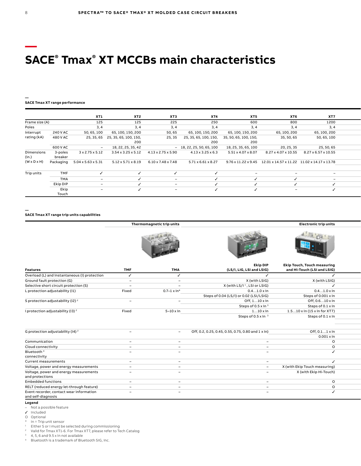### **— SACE® Tmax® XT MCCBs main characteristics**

### **— SACE Tmax XT range performance**

|                         |           | XT1                      | XT2                                                           | XT3                            | XT4                            | XT5                      | XT6                      | XT7                                                               |  |
|-------------------------|-----------|--------------------------|---------------------------------------------------------------|--------------------------------|--------------------------------|--------------------------|--------------------------|-------------------------------------------------------------------|--|
| Frame size (A)          |           | 125                      | 125                                                           | 225                            | 250                            | 600                      | 800                      | 1200                                                              |  |
| Poles                   |           | 3,4                      | 3.4                                                           | 3, 4                           | 3, 4                           | 3.4                      | 3, 4                     | 3, 4                                                              |  |
| Interrupt               | 240 V AC  | 50, 65, 100              | 65, 100, 150, 200                                             | 50,65                          | 65, 100, 150, 200              | 65, 100, 150, 200        | 65, 100, 200             | 65, 100, 200                                                      |  |
| rating (kA)             | 480 V AC  |                          | 25, 35, 65 25, 35, 65, 100, 150,                              | 25, 35                         | 25, 35, 65, 100, 150,          | 35, 50, 65, 100, 150,    | 35, 50, 65               | 50, 65, 100                                                       |  |
|                         |           |                          | 200                                                           |                                | 200                            | 200                      |                          |                                                                   |  |
|                         | 600 V AC  | $\sim$                   | 18, 22, 25, 35, 42                                            |                                | $-18, 22, 25, 50, 65, 100$     | 18, 25, 35, 65, 100      | 20, 25, 35               | 25, 50, 65                                                        |  |
| Dimensions              | 3-poles   | 3 x 2.75 x 5.12          | $3.54 \times 3.25 \times 5.12$ $4.13 \times 2.75 \times 5.90$ |                                | $4.13 \times 3.25 \times 6.3$  | 5.51 x 4.07 x 8.07       | 8.27 x 4.07 x 10.55      | 8.27 x 6.57 x 10.55                                               |  |
| (in.)                   | breaker   |                          |                                                               |                                |                                |                          |                          |                                                                   |  |
| $(W \times D \times H)$ | Packaging | 5.04 x 5.63 x 5.31       | $5.12 \times 5.71 \times 8.19$                                | $6.10 \times 7.48 \times 7.48$ | $5.71 \times 6.61 \times 8.27$ |                          |                          | 9.76 x 11.22 x 9.45  12.01 x 14.57 x 11.22  11.02 x 14.17 x 13.78 |  |
|                         |           |                          |                                                               |                                |                                |                          |                          |                                                                   |  |
| Trip units              | TMF       |                          |                                                               |                                |                                | $\overline{\phantom{0}}$ | $\overline{\phantom{0}}$ | $\overline{\phantom{0}}$                                          |  |
|                         | TMA       | $\overline{\phantom{0}}$ |                                                               |                                |                                |                          |                          | $\overline{\phantom{0}}$                                          |  |
|                         | Ekip DIP  | $\overline{\phantom{0}}$ |                                                               |                                |                                |                          |                          |                                                                   |  |
|                         | Ekip      | $\overline{\phantom{0}}$ |                                                               | $\overline{\phantom{0}}$       |                                |                          | $\overline{\phantom{0}}$ |                                                                   |  |
|                         | Touch     |                          |                                                               |                                |                                |                          |                          |                                                                   |  |

**—**

**SACE Tmax XT range trip units capabilities**

|                                               |                          | Thermomagnetic trip units |                                                    | <b>Electronic trip units</b>                       |  |
|-----------------------------------------------|--------------------------|---------------------------|----------------------------------------------------|----------------------------------------------------|--|
|                                               |                          |                           |                                                    |                                                    |  |
|                                               |                          |                           | <b>Ekip DIP</b>                                    | <b>Ekip Touch, Touch measuring</b>                 |  |
| <b>Features</b>                               | <b>TMF</b>               | <b>TMA</b>                | (LS/I, LIG, LSI and LSIG)                          | and Hi-Touch (LSI and LSIG)                        |  |
| Overload (L) and Instantaneous (I) protection | ✓                        |                           |                                                    |                                                    |  |
| Ground fault protection (G)                   | $\overline{\phantom{0}}$ | $\overline{\phantom{a}}$  | X (with LSIG)                                      | X (with LSIG)                                      |  |
| Selective short circuit protection (S)        | $\overline{\phantom{0}}$ |                           | X (with LS/I <sup>1</sup> , LSI or LSIG)           |                                                    |  |
| L protection adjustability (I1)               | Fixed                    | $0.7 - 1 \times \ln^{*}$  | $0.41.0 \times \ln$                                | $0.41.0 \times \ln$                                |  |
|                                               |                          |                           | Steps of 0.04 (LS/I) or 0.02 (LSI/LSIG)            | Steps of 0.001 x In                                |  |
| S protection adjustability (I2) <sup>2</sup>  |                          | $\overline{\phantom{0}}$  | Off, 110 x In                                      | Off, 0.610 x In                                    |  |
|                                               |                          |                           | Steps of 0.5 x In 3                                | Steps of 0.1 x In                                  |  |
| I protection adjustability (I3) <sup>2</sup>  | Fixed                    | $5-10 \times \ln$         | $110 \times \ln$                                   | $1.510 \times \ln(15 \times \ln \text{ for } XT7)$ |  |
|                                               |                          |                           | Steps of 0.5 x ln 3                                | Steps of 0.1 x In                                  |  |
|                                               |                          |                           |                                                    |                                                    |  |
| G protection adjustability (I4) <sup>2</sup>  |                          | $\overline{\phantom{0}}$  | Off, 0.2, 0.25, 0.45, 0.55, 0.75, 0.80 and 1 x ln) | Off, 0.11 x In                                     |  |
|                                               |                          |                           |                                                    | $0.001 \times \ln$                                 |  |
| Communication                                 | $\sim$                   | $\overline{\phantom{0}}$  | $\sim$                                             | $\circ$                                            |  |
| Cloud connectivity                            |                          | $\overline{\phantom{a}}$  | $\sim$                                             | $\circ$                                            |  |
| Bluetooth <sup>4</sup>                        |                          | $\overline{\phantom{a}}$  | $\overline{\phantom{a}}$                           |                                                    |  |
| connectivity                                  |                          |                           |                                                    |                                                    |  |
| Current measurements                          | $\overline{\phantom{0}}$ | $\overline{\phantom{a}}$  | $\sim$                                             |                                                    |  |
| Voltage, power and energy measurements        | $\sim$                   | $\sim$                    | $\overline{\phantom{0}}$                           | X (with Ekip Touch measuring)                      |  |
| Voltage, power and energy measurements        | $\overline{\phantom{0}}$ | $\overline{\phantom{0}}$  | $\overline{\phantom{a}}$                           | X (with Ekip Hi-Touch)                             |  |
| and protections                               |                          |                           |                                                    |                                                    |  |
| <b>Embedded functions</b>                     | $\overline{\phantom{0}}$ | -                         | $\overline{\phantom{0}}$                           | $\circ$                                            |  |
| RELT (reduced energy let-through feature)     |                          | $\overline{\phantom{0}}$  |                                                    | $\circ$                                            |  |
| Event recorder, contact wear information      |                          | -                         |                                                    |                                                    |  |
| and self-diagnosis                            |                          |                           |                                                    |                                                    |  |

#### **Legend**

– Not a possible feature

✓ Included

O Optional \* In = Trip unit sensor

 $1$  Either S or I must be selected during commissioning

<sup>2</sup> Valid for Tmax XT1-6. For Tmax XT7, please refer to Tech Catalog

 $3-4$ , 5, 6 and 9.5 x In not available

<sup>4</sup> Bluetooth is a trademark of Bluetooth SIG, Inc.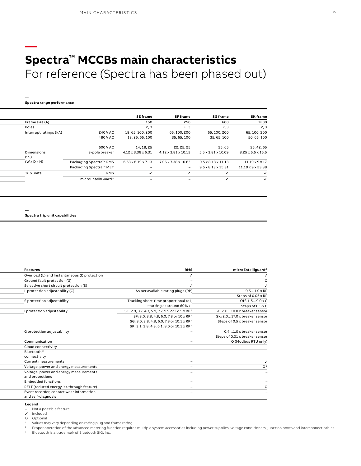### **— Spectra™ MCCBs main characteristics** For reference (Spectra has been phased out)

**Spectra range performance**

**—**

| <b>SK frame</b><br>SE frame<br><b>SG frame</b><br><b>SF frame</b><br>Frame size (A)<br>1200<br>600<br>150<br>250<br>Poles<br>2, 3<br>2, 3<br>2, 3<br>2, 3<br>Interrupt ratings (kA)<br>18, 65, 100, 200<br>65, 100, 200<br>65, 100, 200<br>240 V AC<br>65, 100, 200<br>480 V AC<br>18, 25, 65, 100<br>35, 65, 100<br>35, 65, 100<br>50, 65, 100<br>25, 42, 65<br>600 V AC<br>25,65<br>14, 18, 25<br>22, 25, 25<br>Dimensions<br>$4.12 \times 3.38 \times 6.31$<br>$4.12 \times 3.81 \times 10.12$<br>$5.5 \times 3.81 \times 10.09$<br>8.25 x 5.5 x 15.5<br>3-pole breaker<br>(in.)<br>$(W \times D \times H)$<br>Packaging Spectra™ RMS<br>$11.19 \times 9 \times 17$<br>$6.63 \times 6.19 \times 7.13$<br>7.06 x 7.38 x 10.63<br>$9.5 \times 8.13 \times 11.13$<br>Packaging Spectra™ MET<br>11.19 x 9 x 23.88<br>$9.5 \times 8.13 \times 15.31$<br>$\sim$<br>$\overline{\phantom{0}}$<br>Trip units<br><b>RMS</b><br>microEntelliGuard®<br>$\overline{\phantom{a}}$ |  |  |  |
|------------------------------------------------------------------------------------------------------------------------------------------------------------------------------------------------------------------------------------------------------------------------------------------------------------------------------------------------------------------------------------------------------------------------------------------------------------------------------------------------------------------------------------------------------------------------------------------------------------------------------------------------------------------------------------------------------------------------------------------------------------------------------------------------------------------------------------------------------------------------------------------------------------------------------------------------------------------------|--|--|--|
|                                                                                                                                                                                                                                                                                                                                                                                                                                                                                                                                                                                                                                                                                                                                                                                                                                                                                                                                                                        |  |  |  |
|                                                                                                                                                                                                                                                                                                                                                                                                                                                                                                                                                                                                                                                                                                                                                                                                                                                                                                                                                                        |  |  |  |
|                                                                                                                                                                                                                                                                                                                                                                                                                                                                                                                                                                                                                                                                                                                                                                                                                                                                                                                                                                        |  |  |  |
|                                                                                                                                                                                                                                                                                                                                                                                                                                                                                                                                                                                                                                                                                                                                                                                                                                                                                                                                                                        |  |  |  |
|                                                                                                                                                                                                                                                                                                                                                                                                                                                                                                                                                                                                                                                                                                                                                                                                                                                                                                                                                                        |  |  |  |
|                                                                                                                                                                                                                                                                                                                                                                                                                                                                                                                                                                                                                                                                                                                                                                                                                                                                                                                                                                        |  |  |  |
|                                                                                                                                                                                                                                                                                                                                                                                                                                                                                                                                                                                                                                                                                                                                                                                                                                                                                                                                                                        |  |  |  |
|                                                                                                                                                                                                                                                                                                                                                                                                                                                                                                                                                                                                                                                                                                                                                                                                                                                                                                                                                                        |  |  |  |
|                                                                                                                                                                                                                                                                                                                                                                                                                                                                                                                                                                                                                                                                                                                                                                                                                                                                                                                                                                        |  |  |  |
|                                                                                                                                                                                                                                                                                                                                                                                                                                                                                                                                                                                                                                                                                                                                                                                                                                                                                                                                                                        |  |  |  |
|                                                                                                                                                                                                                                                                                                                                                                                                                                                                                                                                                                                                                                                                                                                                                                                                                                                                                                                                                                        |  |  |  |

**— Spectra trip unit capabilities**

| microEntelliguard®             | <b>RMS</b>                                                 | <b>Features</b>                               |
|--------------------------------|------------------------------------------------------------|-----------------------------------------------|
|                                |                                                            | Overload (L) and Instantaneous (I) protection |
|                                |                                                            | Ground fault protection (G)                   |
|                                |                                                            | Selective short circuit protection (S)        |
| $0.51.0 \times RP$             | As per available rating plugs (RP)                         | L protection adjustability (C)                |
| Steps of 0.05 x RP             |                                                            |                                               |
| Off, 1.59.0 x C                | Tracking short-time proportional to I,                     | S protection adjustability                    |
| Steps of 0.5 x C               | starting at around 60% x l                                 |                                               |
| SG: 2.010.0 x breaker sensor   | SE: 2.9, 3.7, 4.7, 5.9, 7.7, 9.9 or 12.5 x RP <sup>1</sup> | I protection adjustability                    |
| SK: 2.017.0 x breaker sensor   | SF: 3.0, 3.8, 4.8, 6.0, 7.8 or 10 x RP 1                   |                                               |
| Steps of 0.5 x breaker sensor  | SG: 3.0, 3.8, 4.8, 6.0, 7.8 or 10.1 x RP <sup>1</sup>      |                                               |
|                                | SK: 3.1, 3.8, 4.8, 6.1, 8.0 or 10.1 x RP <sup>1</sup>      |                                               |
| 0.41.0 x breaker sensor        |                                                            | G protection adjustability                    |
| Steps of 0.01 x breaker sensor |                                                            |                                               |
| O (Modbus RTU only)            |                                                            | Communication                                 |
|                                |                                                            | Cloud connectivity                            |
|                                | -                                                          | Bluetooth <sup>3</sup>                        |
|                                |                                                            | connectivity                                  |
|                                | $\overline{\phantom{0}}$                                   | Current measurements                          |
|                                |                                                            | Voltage, power and energy measurements        |
|                                | $\overline{\phantom{0}}$                                   | Voltage, power and energy measurements        |
|                                |                                                            | and protections                               |
|                                | $\overline{\phantom{0}}$                                   | <b>Embedded functions</b>                     |
|                                | $\sim$                                                     | RELT (reduced energy let-through feature)     |
|                                |                                                            | Event recorder, contact wear information      |
|                                |                                                            | and self-diagnosis                            |

#### **Legend**

– Not a possible feature

Included

O Optional

<sup>1</sup> Values may vary depending on rating plug and frame rating<br><sup>2</sup> Proper operation of the advanced metering function requires multiple system accessories including power supplies, voltage conditioners, junction boxes and i

Bluetooth is a trademark of Bluetooth SIG, Inc.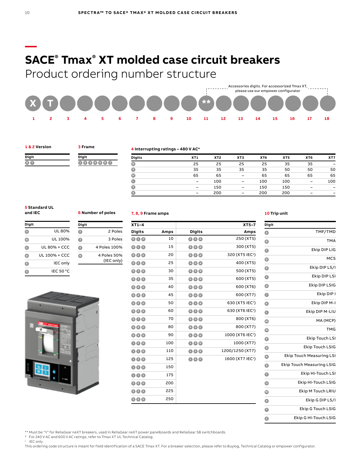### **SACE® Tmax® XT molded case circuit breakers**

Product ordering number structure



#### **1 & 2 Version**

**Digit B**  **3 Frame**

**Digit**

**Digit**

**1 2 3 4 5 6 7**

**6 Number of poles**

**<sup>2</sup>** 2 Poles **<sup>3</sup>** 3 Poles **<sup>4</sup>** 4 Poles 100% **<sup>N</sup>** 4 Poles 50%

(IEC only)

### **4 Interrupting ratings – 480 V AC\***

| <b>Digits</b> | XT1                      | XT <sub>2</sub> | XT <sub>3</sub>          | XT4 | XT <sub>5</sub> | XT6 | XT7 |
|---------------|--------------------------|-----------------|--------------------------|-----|-----------------|-----|-----|
| O             | 25                       | 25              | 25                       | 25  | 35              | 35  | -   |
| $\bullet$     | 35                       | 35              | 35                       | 35  | 50              | 50  | 50  |
| O             | 65                       | 65              | $\overline{\phantom{a}}$ | 65  | 65              | 65  | 65  |
| $\bullet$     | $\overline{\phantom{0}}$ | 100             | $\overline{\phantom{a}}$ | 100 | 100             | -   | 100 |
| $\bullet$     | $\qquad \qquad$          | 150             | $\overline{\phantom{a}}$ | 150 | 150             | -   |     |
| Ø             | $\overline{\phantom{0}}$ | 200             | $\overline{\phantom{0}}$ | 200 | 200             | -   | -   |

#### **5 Standard UL and IEC**

| Digit |                 |
|-------|-----------------|
|       | UL 80%          |
| O)    | UL 100%         |
| c     | UL 80% + CCC    |
| D     | UL 100% + CCC   |
| Ε     | <b>IEC</b> only |
| G     | IEC 50 °C       |



### **7, 8, 9 Frame amps**

| $XT5-7$                      |                         |      | $XT1-4$                            |
|------------------------------|-------------------------|------|------------------------------------|
| Amps                         | <b>Digits</b>           | Amps | <b>Digits</b>                      |
| 250 (XT5)                    | <b>260</b>              | 10   | $\bullet\bullet\bullet$            |
| 300 (XT5)                    | 80A                     | 15   | 006                                |
| 320 (XT5 IEC <sup>1</sup> )  | 88A                     | 20   | $\bullet$ $\bullet$ $\bullet$      |
| 400 (XT5)                    | 40A                     | 25   | 006                                |
| 500 (XT5)                    | 60 <b>0</b>             | 30   | $\bullet\bullet\bullet$            |
| 600 (XT5)                    | 60B                     | 35   | 086                                |
| 600 (XT6)                    | 600                     | 40   | $\odot$ 4 $\odot$                  |
| 600 (XT7)                    | 600                     | 45   | 006                                |
| 630 (XT5 IEC <sup>1</sup> )  | 688                     | 50   | $\bullet$ 6 $\bullet$              |
| 630 (XT6 IEC <sup>1</sup> )  | 680                     | 60   | $\bullet\bullet\bullet$            |
| 800 (XT6)                    | 800                     | 70   | $\mathbf{0} \mathbf{0} \mathbf{0}$ |
| 800 (XT7)                    | 806                     | 80   | $\bullet\bullet\bullet$            |
| 1000 (XT6 IEC <sup>1</sup> ) | 000                     | 90   | $\bullet\bullet\bullet$            |
| 1000 (XT7)                   | $\bullet\bullet\bullet$ | 100  | $\bullet\bullet\bullet$            |
| 1200/1250 (XT7)              | 000                     | 110  | 000                                |
| 1600 (XT7 IEC <sup>1</sup> ) | 000                     | 125  | 006                                |
|                              |                         | 150  | 060                                |
|                              |                         | 175  | 006                                |
|                              |                         | 200  | 200                                |
|                              |                         | 225  | 000                                |
|                              |                         | 250  | 060                                |

#### **10 Trip unit**

| Digit                |                                  |
|----------------------|----------------------------------|
| $\bullet$            | TMF/TMD                          |
| Ô                    | <b>TMA</b>                       |
| $\bullet$            | Ekip DIP LIG                     |
| ◉                    | <b>MCS</b>                       |
| $\bullet$            | Ekip DIP LS/I                    |
| Θ                    | Ekip DIP LSI                     |
| $\bullet$            | Ekip DIP LSIG                    |
| ●                    | Ekip DIP I                       |
| G                    | Ekip DIP M-I                     |
| $\bullet$            | Ekip DIP M-LIU                   |
| $\bullet$            | MA (MCP)                         |
| $\bf{O}$             | <b>TMG</b>                       |
| o                    | Ekip Touch LSI                   |
| $\boldsymbol{\odot}$ | <b>Ekip Touch LSIG</b>           |
| $\bullet$            | <b>Ekip Touch Measuring LSI</b>  |
| ◉                    | <b>Ekip Touch Measuring LSIG</b> |
| $\bullet$            | Ekip Hi-Touch LSI                |
| $\bullet$            | Ekip Hi-Touch LSIG               |
| Ø                    | Ekip M Touch LRIU                |
| Ø                    | Ekip G DIP LS/I                  |
| $\bullet$            | Ekip G Touch LSIG                |
| Ø                    | Ekip G Hi-Touch LSIG             |

\*\* Must be "Y" for ReliaGear neXT breakers, used in ReliaGear neXT power panelboards and ReliaGear SB switchboards.

\* For 240 V AC and 600 V AC ratings, refer to Tmax XT UL Technical Catalog.

<sup>1</sup> IEC only.

This ordering code structure is meant for field identification of a SACE Tmax XT. For a breaker selection, please refer to Buylog, Technical Catalog or empower configurator.

**—**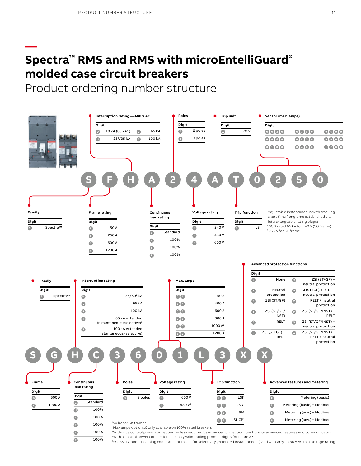**—**

### **Spectra™ RMS and RMS with microEntelliGuard® molded case circuit breakers**

Product ordering number structure



5SC, SS, TC and TT catalog codes are optimized for selectivity (extended instantaneous) and will carry a 480 V AC max voltage rating